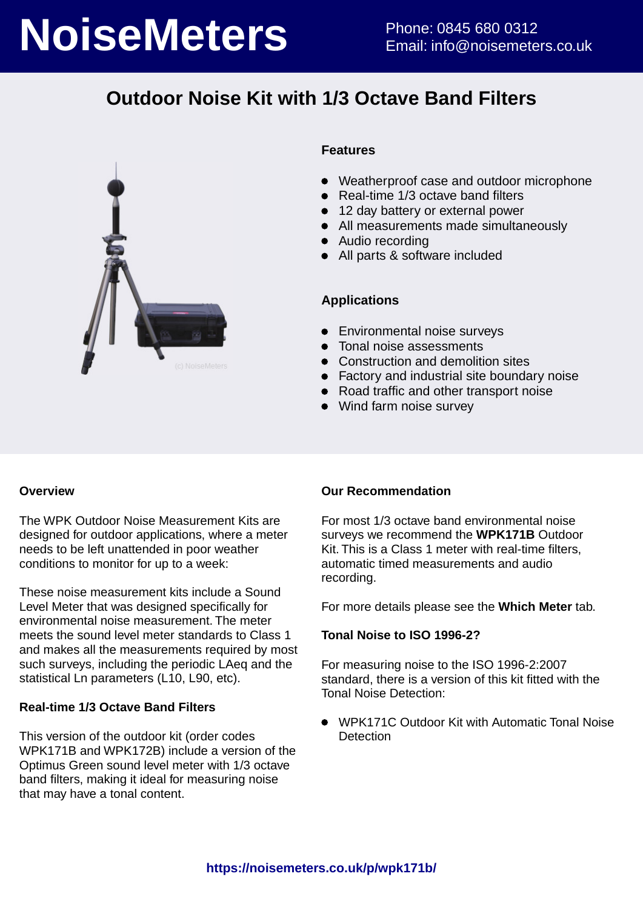# **NoiseMeters** Phone: 0845 680 0312

## **Outdoor Noise Kit with 1/3 Octave Band Filters**



#### **Features**

- Weatherproof case and outdoor microphone
- Real-time 1/3 octave band filters
- 12 day battery or external power
- All measurements made simultaneously
- Audio recording
- All parts & software included

#### **Applications**

- **•** Environmental noise surveys
- Tonal noise assessments
- Construction and demolition sites
- Factory and industrial site boundary noise
- Road traffic and other transport noise
- Wind farm noise survey

#### **Overview**

The WPK Outdoor Noise Measurement Kits are designed for outdoor applications, where a meter needs to be left unattended in poor weather conditions to monitor for up to a week:

These noise measurement kits include a Sound Level Meter that was designed specifically for environmental noise measurement. The meter meets the sound level meter standards to Class 1 and makes all the measurements required by most such surveys, including the periodic LAeq and the statistical Ln parameters (L10, L90, etc).

#### **Real-time 1/3 Octave Band Filters**

This version of the outdoor kit (order codes WPK171B and WPK172B) include a version of the Optimus Green sound level meter with 1/3 octave band filters, making it ideal for measuring noise that may have a tonal content.

#### **Our Recommendation**

For most 1/3 octave band environmental noise surveys we recommend the **WPK171B** Outdoor Kit. This is a Class 1 meter with real-time filters, automatic timed measurements and audio recording.

For more details please see the **Which Meter** tab.

#### **Tonal Noise to ISO 1996-2?**

For measuring noise to the ISO 1996-2:2007 standard, there is a version of this kit fitted with the Tonal Noise Detection:

WPK171C Outdoor Kit with Automatic Tonal Noise  $\bullet$ **Detection**